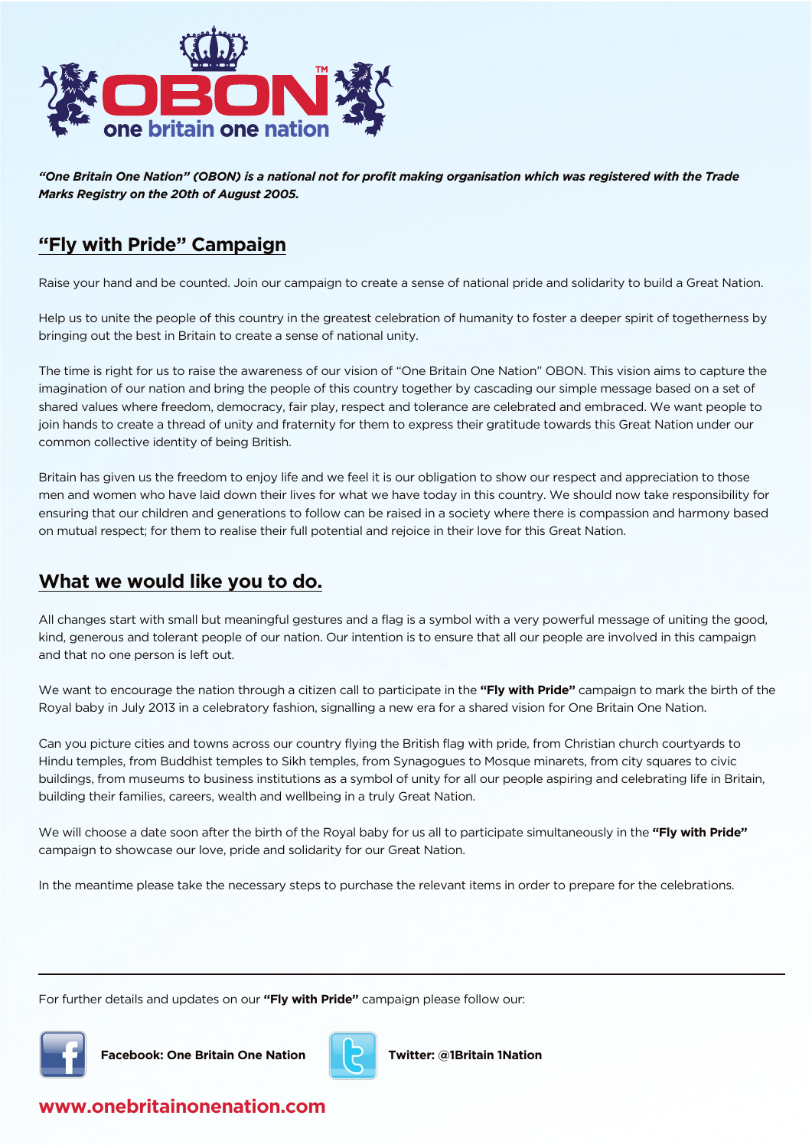

*"One Britain One Nation" (OBON) is a national not for profit making organisation which was registered with the Trade Marks Registry on the 20th of August 2005.*

#### **"Fly with Pride" Campaign**

Raise your hand and be counted. Join our campaign to create a sense of national pride and solidarity to build a Great Nation.

Help us to unite the people of this country in the greatest celebration of humanity to foster a deeper spirit of togetherness by bringing out the best in Britain to create a sense of national unity.

The time is right for us to raise the awareness of our vision of "One Britain One Nation" OBON. This vision aims to capture the imagination of our nation and bring the people of this country together by cascading our simple message based on a set of shared values where freedom, democracy, fair play, respect and tolerance are celebrated and embraced. We want people to join hands to create a thread of unity and fraternity for them to express their gratitude towards this Great Nation under our common collective identity of being British.

Britain has given us the freedom to enjoy life and we feel it is our obligation to show our respect and appreciation to those men and women who have laid down their lives for what we have today in this country. We should now take responsibility for ensuring that our children and generations to follow can be raised in a society where there is compassion and harmony based on mutual respect; for them to realise their full potential and rejoice in their love for this Great Nation.

## **What we would like you to do.**

All changes start with small but meaningful gestures and a flag is a symbol with a very powerful message of uniting the good, kind, generous and tolerant people of our nation. Our intention is to ensure that all our people are involved in this campaign and that no one person is left out.

We want to encourage the nation through a citizen call to participate in the **"Fly with Pride"** campaign to mark the birth of the Royal baby in July 2013 in a celebratory fashion, signalling a new era for a shared vision for One Britain One Nation.

Can you picture cities and towns across our country flying the British flag with pride, from Christian church courtyards to Hindu temples, from Buddhist temples to Sikh temples, from Synagogues to Mosque minarets, from city squares to civic buildings, from museums to business institutions as a symbol of unity for all our people aspiring and celebrating life in Britain, building their families, careers, wealth and wellbeing in a truly Great Nation.

We will choose a date soon after the birth of the Royal baby for us all to participate simultaneously in the **"Fly with Pride"**  campaign to showcase our love, pride and solidarity for our Great Nation.

In the meantime please take the necessary steps to purchase the relevant items in order to prepare for the celebrations.

For further details and updates on our **"Fly with Pride"** campaign please follow our:



**Facebook: One Britain One Nation Twitter: @1Britain 1Nation**



## **www.onebritainonenation.com**